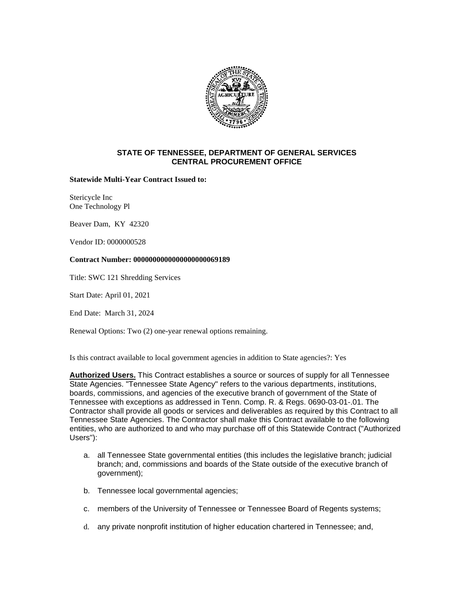

## **STATE OF TENNESSEE, DEPARTMENT OF GENERAL SERVICES CENTRAL PROCUREMENT OFFICE**

**Statewide Multi-Year Contract Issued to:**

Stericycle Inc One Technology Pl

Beaver Dam, KY 42320

Vendor ID: 0000000528

## **Contract Number: 0000000000000000000069189**

Title: SWC 121 Shredding Services

Start Date: April 01, 2021

End Date: March 31, 2024

Renewal Options: Two (2) one-year renewal options remaining.

Is this contract available to local government agencies in addition to State agencies?: Yes

**Authorized Users.** This Contract establishes a source or sources of supply for all Tennessee State Agencies. "Tennessee State Agency" refers to the various departments, institutions, boards, commissions, and agencies of the executive branch of government of the State of Tennessee with exceptions as addressed in Tenn. Comp. R. & Regs. 0690-03-01-.01. The Contractor shall provide all goods or services and deliverables as required by this Contract to all Tennessee State Agencies. The Contractor shall make this Contract available to the following entities, who are authorized to and who may purchase off of this Statewide Contract ("Authorized Users"):

- a. all Tennessee State governmental entities (this includes the legislative branch; judicial branch; and, commissions and boards of the State outside of the executive branch of government);
- b. Tennessee local governmental agencies;
- c. members of the University of Tennessee or Tennessee Board of Regents systems;
- d. any private nonprofit institution of higher education chartered in Tennessee; and,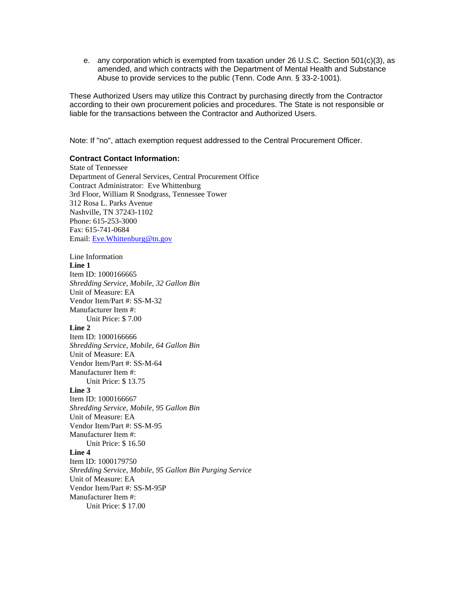e. any corporation which is exempted from taxation under 26 U.S.C. Section 501(c)(3), as amended, and which contracts with the Department of Mental Health and Substance Abuse to provide services to the public (Tenn. Code Ann. § 33-2-1001).

These Authorized Users may utilize this Contract by purchasing directly from the Contractor according to their own procurement policies and procedures. The State is not responsible or liable for the transactions between the Contractor and Authorized Users.

Note: If "no", attach exemption request addressed to the Central Procurement Officer.

## **Contract Contact Information:**

State of Tennessee Department of General Services, Central Procurement Office Contract Administrator: Eve Whittenburg 3rd Floor, William R Snodgrass, Tennessee Tower 312 Rosa L. Parks Avenue Nashville, TN 37243-1102 Phone: 615-253-3000 Fax: 615-741-0684 Email: [Eve.Whittenburg@tn.gov](mailto:Eve.Whittenburg@tn.gov)

Line Information **Line 1**  Item ID: 1000166665 *Shredding Service, Mobile, 32 Gallon Bin* Unit of Measure: EA Vendor Item/Part #: SS-M-32 Manufacturer Item #: Unit Price: \$ 7.00 **Line 2**  Item ID: 1000166666 *Shredding Service, Mobile, 64 Gallon Bin* Unit of Measure: EA Vendor Item/Part #: SS-M-64 Manufacturer Item #: Unit Price: \$ 13.75 **Line 3**  Item ID: 1000166667 *Shredding Service, Mobile, 95 Gallon Bin* Unit of Measure: EA Vendor Item/Part #: SS-M-95 Manufacturer Item #: Unit Price: \$ 16.50 **Line 4**  Item ID: 1000179750 *Shredding Service, Mobile, 95 Gallon Bin Purging Service* Unit of Measure: EA Vendor Item/Part #: SS-M-95P Manufacturer Item #: Unit Price: \$ 17.00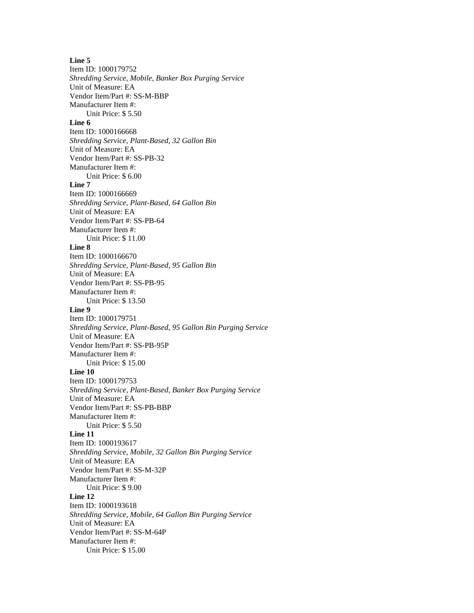**Line 5**  Item ID: 1000179752 *Shredding Service, Mobile, Banker Box Purging Service* Unit of Measure: EA Vendor Item/Part #: SS-M-BBP Manufacturer Item #: Unit Price: \$ 5.50 **Line 6**  Item ID: 1000166668 *Shredding Service, Plant-Based, 32 Gallon Bin* Unit of Measure: EA Vendor Item/Part #: SS-PB-32 Manufacturer Item #: Unit Price: \$ 6.00 **Line 7**  Item ID: 1000166669 *Shredding Service, Plant-Based, 64 Gallon Bin* Unit of Measure: EA Vendor Item/Part #: SS-PB-64 Manufacturer Item #: Unit Price: \$ 11.00 **Line 8**  Item ID: 1000166670 *Shredding Service, Plant-Based, 95 Gallon Bin* Unit of Measure: EA Vendor Item/Part #: SS-PB-95 Manufacturer Item #: Unit Price: \$ 13.50 **Line 9**  Item ID: 1000179751 *Shredding Service, Plant-Based, 95 Gallon Bin Purging Service* Unit of Measure: EA Vendor Item/Part #: SS-PB-95P Manufacturer Item #: Unit Price: \$ 15.00 **Line 10**  Item ID: 1000179753 *Shredding Service, Plant-Based, Banker Box Purging Service* Unit of Measure: EA Vendor Item/Part #: SS-PB-BBP Manufacturer Item #: Unit Price: \$ 5.50 **Line 11**  Item ID: 1000193617 *Shredding Service, Mobile, 32 Gallon Bin Purging Service* Unit of Measure: EA Vendor Item/Part #: SS-M-32P Manufacturer Item #: Unit Price: \$ 9.00 **Line 12**  Item ID: 1000193618 *Shredding Service, Mobile, 64 Gallon Bin Purging Service* Unit of Measure: EA Vendor Item/Part #: SS-M-64P Manufacturer Item #: Unit Price: \$ 15.00